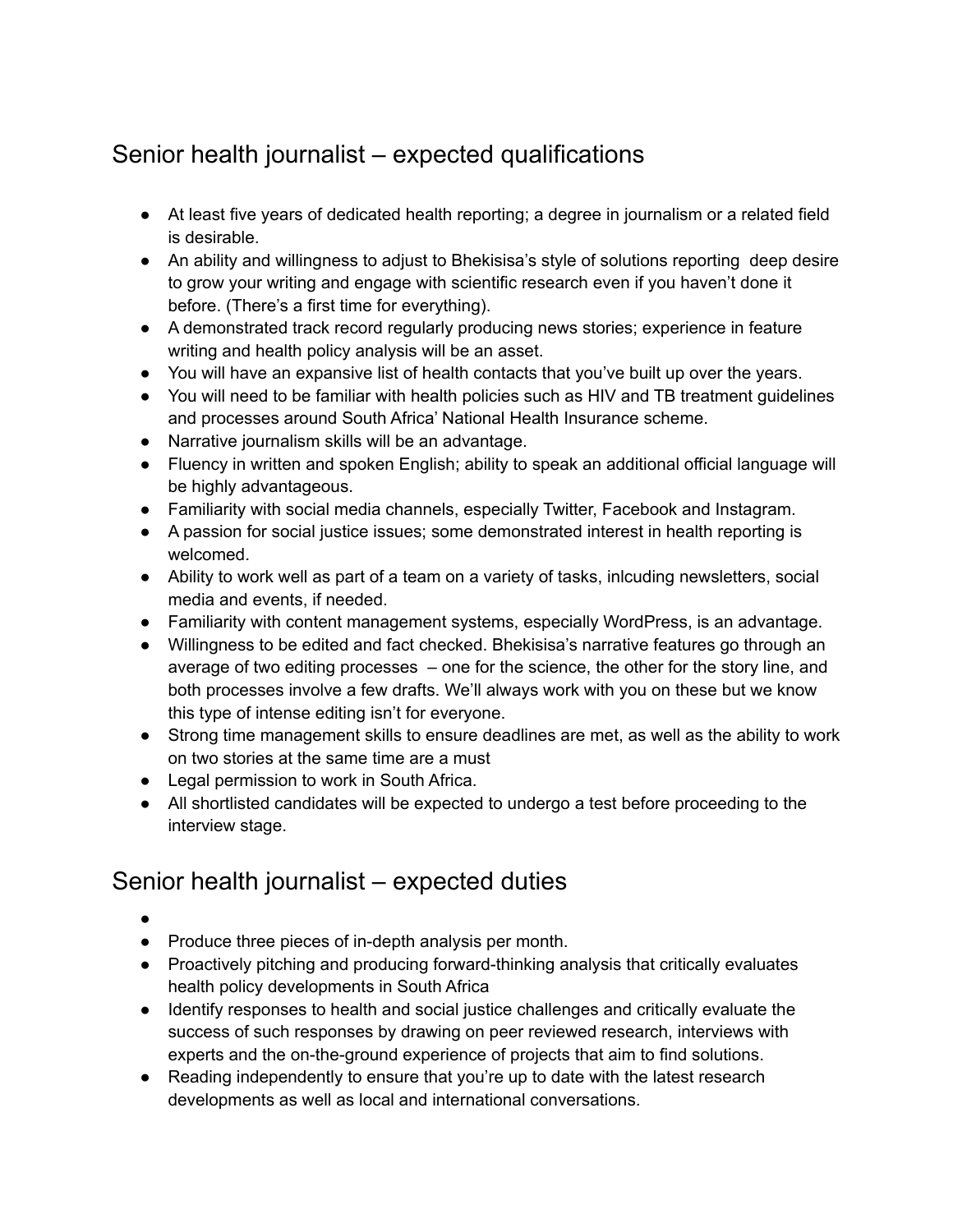## Senior health journalist – expected qualifications

- At least five years of dedicated health reporting; a degree in journalism or a related field is desirable.
- An ability and willingness to adjust to Bhekisisa's style of solutions reporting deep desire to grow your writing and engage with scientific research even if you haven't done it before. (There's a first time for everything).
- A demonstrated track record regularly producing news stories; experience in feature writing and health policy analysis will be an asset.
- You will have an expansive list of health contacts that you've built up over the years.
- You will need to be familiar with health policies such as HIV and TB treatment guidelines and processes around South Africa' National Health Insurance scheme.
- Narrative journalism skills will be an advantage.
- Fluency in written and spoken English; ability to speak an additional official language will be highly advantageous.
- Familiarity with social media channels, especially Twitter, Facebook and Instagram.
- A passion for social justice issues; some demonstrated interest in health reporting is welcomed.
- Ability to work well as part of a team on a variety of tasks, inlcuding newsletters, social media and events, if needed.
- Familiarity with content management systems, especially WordPress, is an advantage.
- Willingness to be edited and fact checked. Bhekisisa's narrative features go through an average of two editing processes – one for the science, the other for the story line, and both processes involve a few drafts. We'll always work with you on these but we know this type of intense editing isn't for everyone.
- Strong time management skills to ensure deadlines are met, as well as the ability to work on two stories at the same time are a must
- Legal permission to work in South Africa.
- All shortlisted candidates will be expected to undergo a test before proceeding to the interview stage.

## Senior health journalist – expected duties

- ●
- Produce three pieces of in-depth analysis per month.
- Proactively pitching and producing forward-thinking analysis that critically evaluates health policy developments in South Africa
- Identify responses to health and social justice challenges and critically evaluate the success of such responses by drawing on peer reviewed research, interviews with experts and the on-the-ground experience of projects that aim to find solutions.
- Reading independently to ensure that you're up to date with the latest research developments as well as local and international conversations.